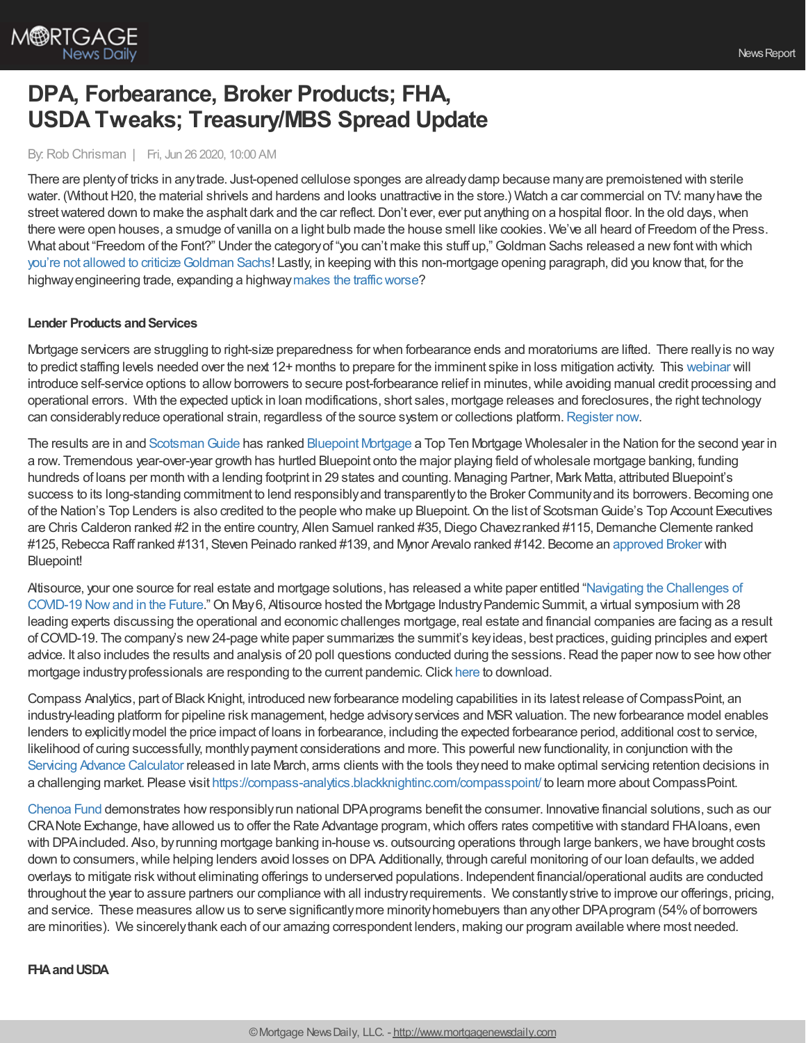

# **DPA, Forbearance, Broker Products; FHA, USDA Tweaks; Treasury/MBS Spread Update**

#### By:Rob Chrisman | Fri, Jun 26 2020, 10:00 AM

There are plentyof tricks in anytrade. Just-opened cellulose sponges are alreadydamp because manyare premoistened with sterile water. (Without H20, the material shrivels and hardens and looks unattractive in the store.) Watch a car commercial on TV: many have the street watered down to make the asphalt dark and the car reflect. Don't ever, ever put anything on a hospital floor. In the old days, when there were open houses, a smudge of vanilla on a light bulb made the house smell like cookies. We've all heard of Freedom of the Press. What about "Freedom of the Font?" Under the category of "you can't make this stuff up," Goldman Sachs released a new font with which you're not allowed to [criticizeGoldman](https://www.theverge.com/tldr/2020/6/25/21302831/goldman-sachs-font-sans-criticize-disparage-license) Sachs! Lastly, in keeping with this non-mortgage opening paragraph, did you knowthat, for the highway engineering trade, expanding a highway makes the traffic worse?

#### **Lender Products and Services**

Mortgage servicers are struggling to right-size preparedness for when forbearance ends and moratoriums are lifted. There reallyis no way to predict staffing levels needed over the next 12+ months to prepare for the imminent spike in loss mitigation activity. This [webinar](https://solomonedwards.zoom.us/webinar/register/3815924110248/WN_GEhBLDojQ2qywOiFVEq3rA) will introduce self-service options to allow borrowers to secure post-forbearance relief in minutes, while avoiding manual credit processing and operational errors. With the expected uptick in loan modifications, short sales, mortgage releases and foreclosures, the right technology can considerablyreduce operational strain, regardless of the source system or collections platform.[Register](https://solomonedwards.zoom.us/webinar/register/3815924110248/WN_GEhBLDojQ2qywOiFVEq3rA) now.

The results are in and [ScotsmanGuide](https://www.scotsmanguide.com/rankings/top-mortgage-lenders?utm_source=TML-TWAE%202019_06/01/2020&utm_medium=email&utm_campaign=TML-TWAE%202019) has ranked [Bluepoint](https://bluepointmtg.com/) Mortgage a Top Ten Mortgage Wholesaler in the Nation for the second year in a row. Tremendous year-over-year growth has hurtled Bluepoint onto the major playing field ofwholesale mortgage banking, funding hundreds of loans per month with a lending footprint in 29 states and counting. Managing Partner, Mark Matta, attributed Bluepoint's success to its long-standing commitment to lend responsibly and transparently to the Broker Community and its borrowers. Becoming one of the Nation's Top Lenders is also credited to the people who make up Bluepoint.On the list of ScotsmanGuide's Top Account Executives are Chris Calderon ranked #2 in the entire country, Allen Samuel ranked #35, Diego Chavez ranked #115, Demanche Clemente ranked #125, Rebecca Raff ranked #131, Steven Peinado ranked #139, and Mynor Arevalo ranked #142. Become an [approved](https://bluepointmtg.com/broker-application/) Broker with Bluepoint!

Altisource, your one source for real estate and mortgage solutions, has released a white paper entitled "Navigating the Challenges of COVID-19 Nowand in the Future."On May6, Altisource hosted the Mortgage [IndustryPandemic](https://pages.altisource.com/200604-LP-Chrisman-COVID-19-Summit-Whitepaper.html) Summit, a virtual symposium with 28 leading experts discussing the operational and economic challenges mortgage, real estate and financial companies are facing as a result ofCOVID-19. The company's new24-page white paper summarizes the summit's keyideas, best practices, guiding principles and expert advice. It also includes the results and analysis of 20 poll questions conducted during the sessions. Read the paper now to see how other mortgage industry professionals are responding to the current pandemic. Click [here](https://pages.altisource.com/200604-LP-Chrisman-COVID-19-Summit-Whitepaper.html) to download.

Compass Analytics, part of Black Knight, introduced newforbearance modeling capabilities in its latest release ofCompassPoint, an industry-leading platform for pipeline risk management, hedge advisory services and MSR valuation. The new forbearance model enables lenders to explicitlymodel the price impact of loans in forbearance, including the expected forbearance period, additional cost to service, likelihood of curing successfully, monthly payment considerations and more. This powerful new functionality, in conjunction with the Servicing Advance [Calculator](https://compass-analytics.blackknightinc.com/compass-analytics/retaining-servicing-webinar-part-3-lp/) released in late March, arms clients with the tools they need to make optimal servicing retention decisions in a challenging market. Please visit <https://compass-analytics.blackknightinc.com/compasspoint/> to learn more aboutCompassPoint.

[Chenoa](http://chenoafund.org/) Fund demonstrates howresponsiblyrun national DPAprograms benefit the consumer. Innovative financial solutions, such as our CRANote Exchange, have allowed us to offer the Rate Advantage program,which offers rates competitive with standard FHAloans, even with DPA included. Also, by running mortgage banking in-house vs. outsourcing operations through large bankers, we have brought costs down to consumers, while helping lenders avoid losses on DPA Additionally, through careful monitoring of our loan defaults, we added overlays to mitigate riskwithout eliminating offerings to underserved populations. Independent financial/operational audits are conducted throughout the year to assure partners our compliance with all industryrequirements. We constantlystrive to improve our offerings, pricing, and service. These measures allowus to serve significantlymore minorityhomebuyers than anyother DPAprogram (54%of borrowers are minorities). We sincerelythank each of our amazing correspondent lenders, making our program available where most needed.

#### **FHA and USDA**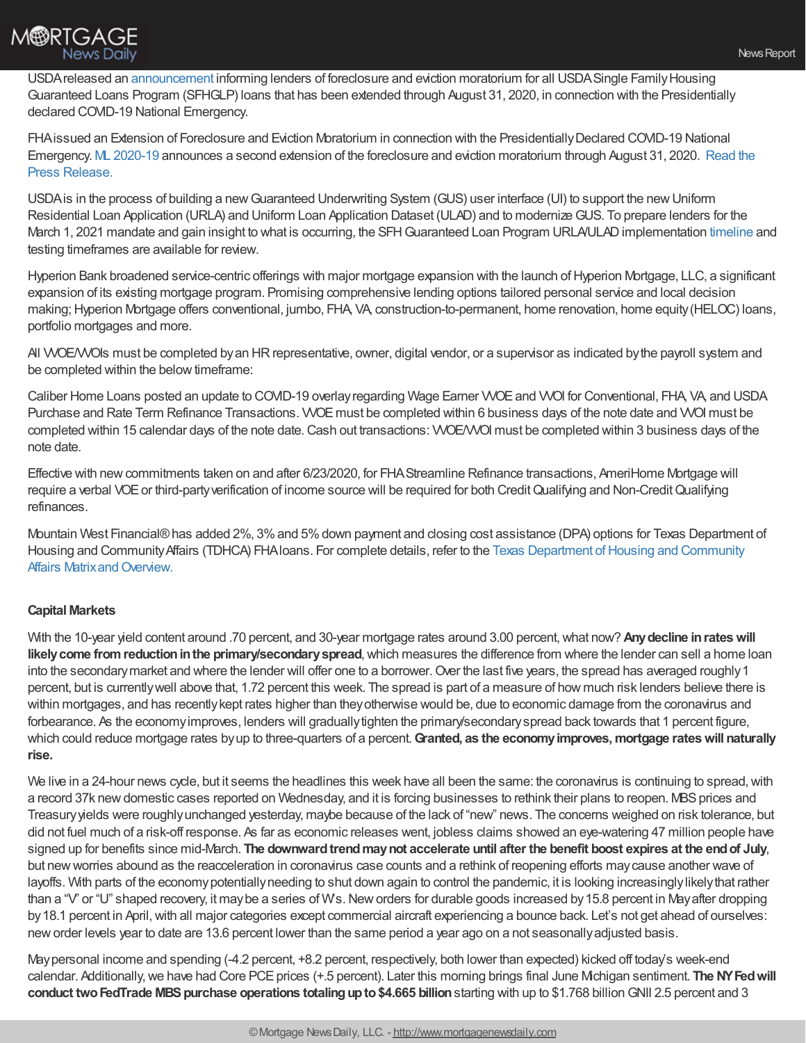

USDAreleased an [announcement](https://www.rd.usda.gov/sites/default/files/USDA_RD_SA_Announces_Extension_Foreclosure_Eviction_Relief.pdf) informing lenders of foreclosure and eviction moratorium for all USDASingle FamilyHousing Guaranteed Loans Program (SFHGLP) loans that has been extended through August 31, 2020, in connection with the Presidentially declared COVID-19 National Emergency.

FHA issued an Extension of Foreclosure and Eviction Moratorium in connection with the Presidentially Declared COVID-19 National [Emergency.](https://www.hud.gov/press) ML [2020-19](https://www.hud.gov/sites/dfiles/OCHCO/documents/2020-19hsngml.pdf) announces a second extension of the foreclosure and eviction moratorium through August 31, 2020. Read the Press Release.

USDAis in the process of building a newGuaranteed Underwriting System (GUS) user interface (UI) to support the newUniform Residential Loan Application (URLA) and Uniform Loan Application Dataset (ULAD) and to modernizeGUS. To prepare lenders for the March 1, 2021 mandate and gain insight to what is occurring, the SFH Guaranteed Loan Program URLA/ULAD implementation [timeline](https://rd.usda.gov/sites/default/files/RD-GRH-LenderRoadmap.pdf) and testing timeframes are available for review.

Hyperion Bank broadened service-centric offerings with major mortgage expansion with the launch of Hyperion Mortgage, LLC, a significant expansion of its existing mortgage program. Promising comprehensive lending options tailored personal service and local decision making; Hyperion Mortgage offers conventional, jumbo, FHA, VA, construction-to-permanent, home renovation, home equity (HELOC) loans, portfolio mortgages and more.

All WOE/WOIs must be completed by an HR representative, owner, digital vendor, or a supervisor as indicated by the payroll system and be completed within the below timeframe:

Caliber Home Loans posted an update to COVID-19 overlayregarding Wage Earner VVOEand VVOI for Conventional, FHA, VA, and USDA Purchase and Rate Term Refinance Transactions. VVOEmust be completed within 6 business days of the note date and VVOI must be completed within 15 calendar days of the note date.Cash out transactions: VVOE/VVOI must be completed within 3 business days of the note date.

Effective with newcommitments taken on and after 6/23/2020, for FHAStreamline Refinance transactions, AmeriHome Mortgage will require a verbal VOEor third-partyverification of income source will be required for both CreditQualifying and Non-CreditQualifying refinances.

Mountain West Financial® has added 2%, 3% and 5% down payment and closing cost assistance (DPA) options for Texas Department of Housing and Community Affairs (TDHCA) FHAloans. For complete details, refer to the Texas Department of Housing and Community Affairs Matrix and Overview.

## **Capital Markets**

With the 10-year yield content around .70 percent, and 30-year mortgage rates around 3.00 percent,what now? **Anydecline inrateswill** likely come from reduction in the primary/secondary spread, which measures the difference from where the lender can sell a home loan into the secondary market and where the lender will offer one to a borrower. Over the last five years, the spread has averaged roughly 1 percent, but is currentlywell above that, 1.72 percent this week. The spread is part of a measure of how much risk lenders believe there is within mortgages, and has recentlykept rates higher than theyotherwise would be, due to economic damage from the coronavirus and forbearance. As the economy improves, lenders will gradually tighten the primary/secondary spread back towards that 1 percent figure, which could reduce mortgage rates byup to three-quarters of a percent.**Granted, as the economyimproves,mortgage rateswill naturally rise.**

We live in a 24-hour news cycle, but it seems the headlines this week have all been the same: the coronavirus is continuing to spread, with a record 37k new domestic cases reported on Wednesday, and it is forcing businesses to rethink their plans to reopen. MBS prices and Treasuryyields were roughlyunchanged yesterday, maybe because of the lack of "new" news. The concerns weighed on risk tolerance, but did not fuel much of a risk-off response. As far as economic releases went, jobless claims showed an eye-watering 47 million people have signed up for benefits since mid-March. **The downwardtrendmaynot accelerate until after the benefit boost expires at the endof July**, but newworries abound as the reacceleration in coronavirus case counts and a rethink of reopening efforts maycause another wave of layoffs. With parts of the economypotentiallyneeding to shut down again to control the pandemic, it is looking increasinglylikelythat rather than a "V" or "U" shaped recovery, it may be a series of Ws. New orders for durable goods increased by 15.8 percent in May after dropping by 18.1 percent in April, with all major categories except commercial aircraft experiencing a bounce back. Let's not get ahead of ourselves: new order levels year to date are 13.6 percent lower than the same period a year ago on a not seasonally adjusted basis.

Maypersonal income and spending (-4.2 percent, +8.2 percent, respectively, both lower than expected) kicked off today's week-end calendar. Additionally, we have had Core PCE prices (+.5 percent). Later this morning brings final June Michigan sentiment. The NY Fed will **conduct two FedTrade MBS purchase operations totaling up to \$4.665 billion starting with up to \$1.768 billion GNII 2.5 percent and 3**